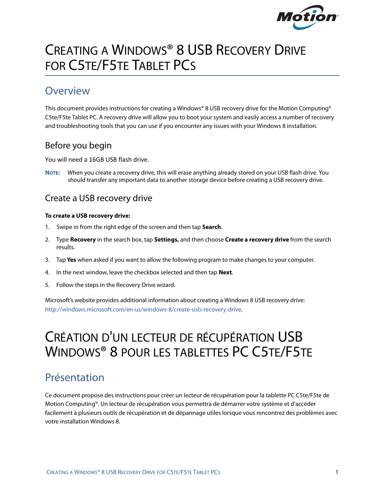

# CREATING A WINDOWS® 8 USB RECOVERY DRIVE FOR C5TE/F5TE TABLET PCS

# **Overview**

This document provides instructions for creating a Windows® 8 USB recovery drive for the Motion Computing® C5te/F5te Tablet PC. A recovery drive will allow you to boot your system and easily access a number of recovery and troubleshooting tools that you can use if you encounter any issues with your Windows 8 installation.

## Before you begin

You will need a 16GB USB flash drive.

**NOTE:** When you create a recovery drive, this will erase anything already stored on your USB flash drive. You should transfer any important data to another storage device before creating a USB recovery drive.

## Create a USB recovery drive

#### **To create a USB recovery drive:**

- 1. Swipe in from the right edge of the screen and then tap **Search**.
- 2. Type **Recovery** in the search box, tap **Settings,** and then choose **Create a recovery drive** from the search results.
- 3. Tap **Yes** when asked if you want to allow the following program to make changes to your computer.
- 4. In the next window, leave the checkbox selected and then tap **Next**.
- 5. Follow the steps in the Recovery Drive wizard.

Microsoft's website provides additional information about creating a Windows 8 USB recovery drive: [http://windows.microsoft.com/en-us/windows-8/create-usb-recovery-drive.](http://windows.microsoft.com/en-us/windows-8/create-usb-recovery-drive)

# CRÉATION D'UN LECTEUR DE RÉCUPÉRATION USB WINDOWS® 8 POUR LES TABLETTES PC C5TE/F5TE

# Présentation

Ce document propose des instructions pour créer un lecteur de récupération pour la tablette PC C5te/F5te de Motion Computing®. Un lecteur de récupération vous permettra de démarrer votre système et d'accéder facilement à plusieurs outils de récupération et de dépannage utiles lorsque vous rencontrez des problèmes avec votre installation Windows 8.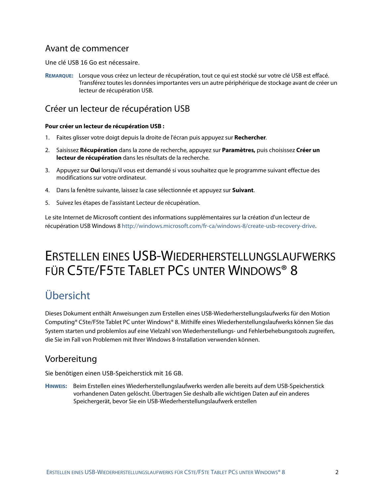### Avant de commencer

Une clé USB 16 Go est nécessaire.

**REMARQUE:** Lorsque vous créez un lecteur de récupération, tout ce qui est stocké sur votre clé USB est effacé. Transférez toutes les données importantes vers un autre périphérique de stockage avant de créer un lecteur de récupération USB.

## Créer un lecteur de récupération USB

#### **Pour créer un lecteur de récupération USB :**

- 1. Faites glisser votre doigt depuis la droite de l'écran puis appuyez sur **Rechercher**.
- 2. Saisissez **Récupération** dans la zone de recherche, appuyez sur **Paramètres,** puis choisissez **Créer un lecteur de récupération** dans les résultats de la recherche.
- 3. Appuyez sur **Oui** lorsqu'il vous est demandé si vous souhaitez que le programme suivant effectue des modifications sur votre ordinateur.
- 4. Dans la fenêtre suivante, laissez la case sélectionnée et appuyez sur **Suivant**.
- 5. Suivez les étapes de l'assistant Lecteur de récupération.

Le site Internet de Microsoft contient des informations supplémentaires sur la création d'un lecteur de récupération USB Windows 8 [http://windows.microsoft.com/fr-ca/windows-8/create-usb-recovery-drive.](http://windows.microsoft.com/fr-ca/windows-8/create-usb-recovery-drive)

# ERSTELLEN EINES USB-WIEDERHERSTELLUNGSLAUFWERKS FÜR C5TE/F5TE TABLET PCS UNTER WINDOWS® 8

# Übersicht

Dieses Dokument enthält Anweisungen zum Erstellen eines USB-Wiederherstellungslaufwerks für den Motion Computing® C5te/F5te Tablet PC unter Windows® 8. Mithilfe eines Wiederherstellungslaufwerks können Sie das System starten und problemlos auf eine Vielzahl von Wiederherstellungs- und Fehlerbehebungstools zugreifen, die Sie im Fall von Problemen mit Ihrer Windows 8-Installation verwenden können.

### Vorbereitung

Sie benötigen einen USB-Speicherstick mit 16 GB.

**HINWEIS:** Beim Erstellen eines Wiederherstellungslaufwerks werden alle bereits auf dem USB-Speicherstick vorhandenen Daten gelöscht. Übertragen Sie deshalb alle wichtigen Daten auf ein anderes Speichergerät, bevor Sie ein USB-Wiederherstellungslaufwerk erstellen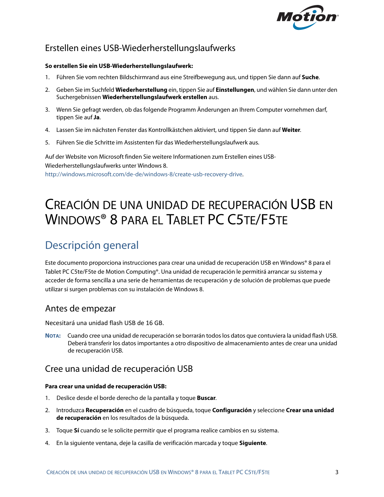

## Erstellen eines USB-Wiederherstellungslaufwerks

#### **So erstellen Sie ein USB-Wiederherstellungslaufwerk:**

- 1. Führen Sie vom rechten Bildschirmrand aus eine Streifbewegung aus, und tippen Sie dann auf **Suche**.
- 2. Geben Sie im Suchfeld **Wiederherstellung** ein, tippen Sie auf **Einstellungen**, und wählen Sie dann unter den Suchergebnissen **Wiederherstellungslaufwerk erstellen** aus.
- 3. Wenn Sie gefragt werden, ob das folgende Programm Änderungen an Ihrem Computer vornehmen darf, tippen Sie auf **Ja**.
- 4. Lassen Sie im nächsten Fenster das Kontrollkästchen aktiviert, und tippen Sie dann auf **Weiter**.
- 5. Führen Sie die Schritte im Assistenten für das Wiederherstellungslaufwerk aus.

Auf der Website von Microsoft finden Sie weitere Informationen zum Erstellen eines USB-Wiederherstellungslaufwerks unter Windows 8. [http://windows.microsoft.com/de-de/windows-8/create-usb-recovery-drive.](http://windows.microsoft.com/de-de/windows-8/create-usb-recovery-drive)

# CREACIÓN DE UNA UNIDAD DE RECUPERACIÓN USB EN WINDOWS® 8 PARA EL TABLET PC C5TE/F5TE

# Descripción general

Este documento proporciona instrucciones para crear una unidad de recuperación USB en Windows® 8 para el Tablet PC C5te/F5te de Motion Computing®. Una unidad de recuperación le permitirá arrancar su sistema y acceder de forma sencilla a una serie de herramientas de recuperación y de solución de problemas que puede utilizar si surgen problemas con su instalación de Windows 8.

### Antes de empezar

Necesitará una unidad flash USB de 16 GB.

**NOTA:** Cuando cree una unidad de recuperación se borrarán todos los datos que contuviera la unidad flash USB. Deberá transferir los datos importantes a otro dispositivo de almacenamiento antes de crear una unidad de recuperación USB.

## Cree una unidad de recuperación USB

#### **Para crear una unidad de recuperación USB:**

- 1. Deslice desde el borde derecho de la pantalla y toque **Buscar**.
- 2. Introduzca **Recuperación** en el cuadro de búsqueda, toque **Configuración** y seleccione **Crear una unidad de recuperación** en los resultados de la búsqueda.
- 3. Toque **Sí** cuando se le solicite permitir que el programa realice cambios en su sistema.
- 4. En la siguiente ventana, deje la casilla de verificación marcada y toque **Siguiente**.